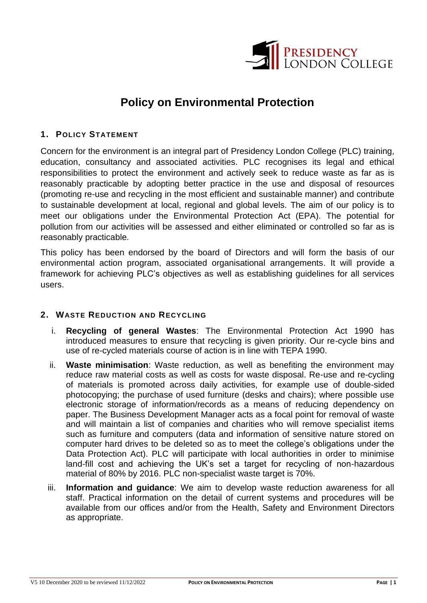

# **Policy on Environmental Protection**

### **1. POLICY STATEMENT**

Concern for the environment is an integral part of Presidency London College (PLC) training, education, consultancy and associated activities. PLC recognises its legal and ethical responsibilities to protect the environment and actively seek to reduce waste as far as is reasonably practicable by adopting better practice in the use and disposal of resources (promoting re-use and recycling in the most efficient and sustainable manner) and contribute to sustainable development at local, regional and global levels. The aim of our policy is to meet our obligations under the Environmental Protection Act (EPA). The potential for pollution from our activities will be assessed and either eliminated or controlled so far as is reasonably practicable.

This policy has been endorsed by the board of Directors and will form the basis of our environmental action program, associated organisational arrangements. It will provide a framework for achieving PLC's objectives as well as establishing guidelines for all services users.

#### **2. WASTE REDUCTION AND RECYCLING**

- i. **Recycling of general Wastes**: The Environmental Protection Act 1990 has introduced measures to ensure that recycling is given priority. Our re-cycle bins and use of re-cycled materials course of action is in line with TEPA 1990.
- ii. **Waste minimisation**: Waste reduction, as well as benefiting the environment may reduce raw material costs as well as costs for waste disposal. Re-use and re-cycling of materials is promoted across daily activities, for example use of double-sided photocopying; the purchase of used furniture (desks and chairs); where possible use electronic storage of information/records as a means of reducing dependency on paper. The Business Development Manager acts as a focal point for removal of waste and will maintain a list of companies and charities who will remove specialist items such as furniture and computers (data and information of sensitive nature stored on computer hard drives to be deleted so as to meet the college's obligations under the Data Protection Act). PLC will participate with local authorities in order to minimise land-fill cost and achieving the UK's set a target for recycling of non-hazardous material of 80% by 2016. PLC non-specialist waste target is 70%.
- iii. **Information and guidance**: We aim to develop waste reduction awareness for all staff. Practical information on the detail of current systems and procedures will be available from our offices and/or from the Health, Safety and Environment Directors as appropriate.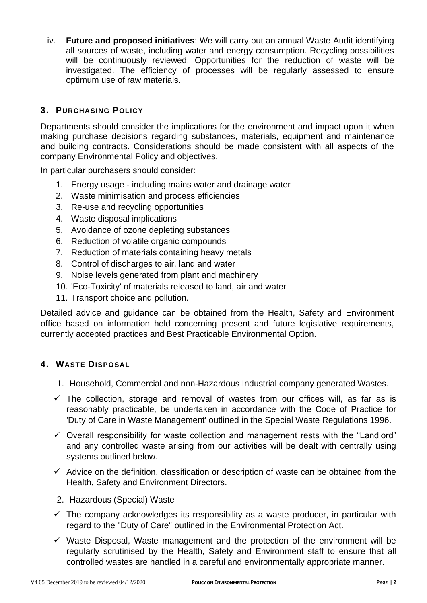iv. **Future and proposed initiatives**: We will carry out an annual Waste Audit identifying all sources of waste, including water and energy consumption. Recycling possibilities will be continuously reviewed. Opportunities for the reduction of waste will be investigated. The efficiency of processes will be regularly assessed to ensure optimum use of raw materials.

## **3. PURCHASING POLICY**

Departments should consider the implications for the environment and impact upon it when making purchase decisions regarding substances, materials, equipment and maintenance and building contracts. Considerations should be made consistent with all aspects of the company Environmental Policy and objectives.

In particular purchasers should consider:

- 1. Energy usage including mains water and drainage water
- 2. Waste minimisation and process efficiencies
- 3. Re-use and recycling opportunities
- 4. Waste disposal implications
- 5. Avoidance of ozone depleting substances
- 6. Reduction of volatile organic compounds
- 7. Reduction of materials containing heavy metals
- 8. Control of discharges to air, land and water
- 9. Noise levels generated from plant and machinery
- 10. 'Eco-Toxicity' of materials released to land, air and water
- 11. Transport choice and pollution.

Detailed advice and guidance can be obtained from the Health, Safety and Environment office based on information held concerning present and future legislative requirements, currently accepted practices and Best Practicable Environmental Option.

#### **4. WASTE DISPOSAL**

- 1. Household, Commercial and non-Hazardous Industrial company generated Wastes.
- $\checkmark$  The collection, storage and removal of wastes from our offices will, as far as is reasonably practicable, be undertaken in accordance with the Code of Practice for 'Duty of Care in Waste Management' outlined in the Special Waste Regulations 1996.
- $\checkmark$  Overall responsibility for waste collection and management rests with the "Landlord" and any controlled waste arising from our activities will be dealt with centrally using systems outlined below.
- $\checkmark$  Advice on the definition, classification or description of waste can be obtained from the Health, Safety and Environment Directors.
- 2. Hazardous (Special) Waste
- $\checkmark$  The company acknowledges its responsibility as a waste producer, in particular with regard to the "Duty of Care" outlined in the Environmental Protection Act.
- ✓ Waste Disposal, Waste management and the protection of the environment will be regularly scrutinised by the Health, Safety and Environment staff to ensure that all controlled wastes are handled in a careful and environmentally appropriate manner.